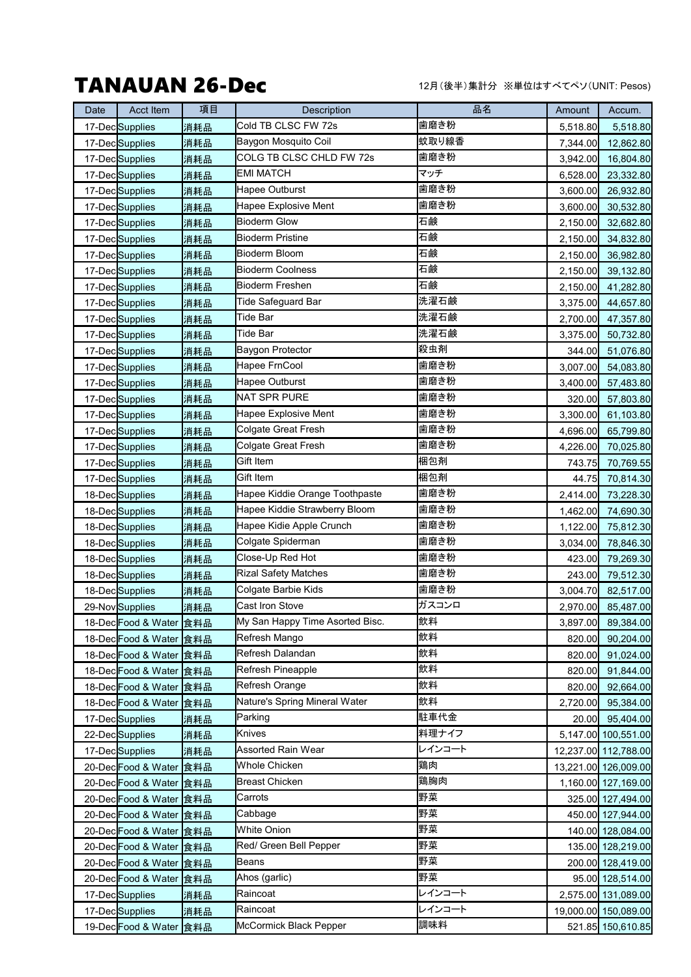## TANAUAN 26-Dec

12月(後半)集計分 ※単位はすべてペソ(UNIT: Pesos)

| Date | Acct Item                  | 項目  | Description                     | 品名     | Amount   | Accum.               |
|------|----------------------------|-----|---------------------------------|--------|----------|----------------------|
|      | 17-DecSupplies             | 消耗品 | Cold TB CLSC FW 72s             | 歯磨き粉   | 5,518.80 | 5,518.80             |
|      | 17-DecSupplies             | 消耗品 | Baygon Mosquito Coil            | 蚊取り線香  | 7,344.00 | 12,862.80            |
|      | 17-DecSupplies             | 消耗品 | COLG TB CLSC CHLD FW 72s        | 歯磨き粉   | 3,942.00 | 16,804.80            |
|      | 17-DecSupplies             | 消耗品 | <b>EMI MATCH</b>                | マッチ    | 6,528.00 | 23,332.80            |
|      | 17-DecSupplies             | 消耗品 | Hapee Outburst                  | 歯磨き粉   | 3,600.00 | 26,932.80            |
|      | 17-DecSupplies             | 消耗品 | Hapee Explosive Ment            | 歯磨き粉   | 3,600.00 | 30,532.80            |
|      | 17-DecSupplies             | 消耗品 | <b>Bioderm Glow</b>             | 石鹸     | 2,150.00 | 32,682.80            |
|      | 17-DecSupplies             | 消耗品 | <b>Bioderm Pristine</b>         | 石鹸     | 2,150.00 | 34,832.80            |
|      | 17-DecSupplies             | 消耗品 | Bioderm Bloom                   | 石鹸     | 2,150.00 | 36,982.80            |
|      | 17-DecSupplies             | 消耗品 | <b>Bioderm Coolness</b>         | 石鹸     | 2,150.00 | 39,132.80            |
|      | 17-DecSupplies             | 消耗品 | <b>Bioderm Freshen</b>          | 石鹸     | 2,150.00 | 41,282.80            |
|      | 17-DecSupplies             | 消耗品 | Tide Safeguard Bar              | 洗濯石鹸   | 3,375.00 | 44,657.80            |
|      | 17-DecSupplies             | 消耗品 | Tide Bar                        | 洗濯石鹸   | 2,700.00 | 47,357.80            |
|      | 17-DecSupplies             | 消耗品 | Tide Bar                        | 洗濯石鹸   | 3,375.00 | 50,732.80            |
|      | 17-DecSupplies             | 消耗品 | Baygon Protector                | 殺虫剤    | 344.00   | 51,076.80            |
|      | 17-DecSupplies             | 消耗品 | Hapee FrnCool                   | 歯磨き粉   | 3,007.00 | 54,083.80            |
|      | 17-DecSupplies             | 消耗品 | Hapee Outburst                  | 歯磨き粉   | 3,400.00 | 57,483.80            |
|      | 17-DecSupplies             | 消耗品 | <b>NAT SPR PURE</b>             | 歯磨き粉   | 320.00   | 57,803.80            |
|      | 17-Dec <sup>Supplies</sup> | 消耗品 | Hapee Explosive Ment            | 歯磨き粉   | 3,300.00 | 61,103.80            |
|      | 17-DecSupplies             | 消耗品 | Colgate Great Fresh             | 歯磨き粉   | 4,696.00 | 65,799.80            |
|      | 17-DecSupplies             | 消耗品 | Colgate Great Fresh             | 歯磨き粉   | 4,226.00 | 70,025.80            |
|      | 17-DecSupplies             | 消耗品 | Gift Item                       | 梱包剤    | 743.75   | 70,769.55            |
|      | 17-DecSupplies             | 消耗品 | Gift Item                       | 梱包剤    | 44.75    | 70,814.30            |
|      | 18-DecSupplies             | 消耗品 | Hapee Kiddie Orange Toothpaste  | 歯磨き粉   | 2,414.00 | 73,228.30            |
|      | 18-DecSupplies             | 消耗品 | Hapee Kiddie Strawberry Bloom   | 歯磨き粉   | 1,462.00 | 74,690.30            |
|      | 18-DecSupplies             | 消耗品 | Hapee Kidie Apple Crunch        | 歯磨き粉   | 1,122.00 | 75,812.30            |
|      | 18-Dec <sup>Supplies</sup> | 消耗品 | Colgate Spiderman               | 歯磨き粉   | 3,034.00 | 78,846.30            |
|      | 18-DecSupplies             | 消耗品 | Close-Up Red Hot                | 歯磨き粉   | 423.00   | 79,269.30            |
|      | 18-DecSupplies             | 消耗品 | <b>Rizal Safety Matches</b>     | 歯磨き粉   | 243.00   | 79,512.30            |
|      | 18-DecSupplies             | 消耗品 | Colgate Barbie Kids             | 歯磨き粉   | 3,004.70 | 82,517.00            |
|      | 29-Nov Supplies            | 消耗品 | Cast Iron Stove                 | ガスコンロ  | 2,970.00 | 85,487.00            |
|      | 18-Dec Food & Water 食料品    |     | My San Happy Time Asorted Bisc. | 飲料     | 3,897.00 | 89,384.00            |
|      | 18-Dec Food & Water 食料品    |     | Refresh Mango                   | 飲料     | 820.00   | 90,204.00            |
|      | 18-Dec Food & Water 食料品    |     | Refresh Dalandan                | 飲料     | 820.00   | 91,024.00            |
|      | 18-Dec Food & Water 食料品    |     | Refresh Pineapple               | 飲料     | 820.00   | 91,844.00            |
|      | 18-Dec Food & Water 食料品    |     | Refresh Orange                  | 飲料     | 820.00   | 92,664.00            |
|      | 18-Dec Food & Water 食料品    |     | Nature's Spring Mineral Water   | 飲料     | 2,720.00 | 95,384.00            |
|      | 17-DecSupplies             | 消耗品 | Parking                         | 駐車代金   | 20.00    | 95,404.00            |
|      | 22-DecSupplies             | 消耗品 | Knives                          | 料理ナイフ  |          | 5,147.00 100,551.00  |
|      | 17-DecSupplies             | 消耗品 | Assorted Rain Wear              | レインコート |          | 12,237.00 112,788.00 |
|      | 20-Dec Food & Water 食料品    |     | <b>Whole Chicken</b>            | 鶏肉     |          | 13,221.00 126,009.00 |
|      | 20-Dec Food & Water 食料品    |     | Breast Chicken                  | 鶏胸肉    |          | 1,160.00 127,169.00  |
|      | 20-Dec Food & Water 食料品    |     | Carrots                         | 野菜     |          | 325.00 127,494.00    |
|      | 20-Dec Food & Water 食料品    |     | Cabbage                         | 野菜     |          | 450.00 127,944.00    |
|      | 20-Dec Food & Water 食料品    |     | White Onion                     | 野菜     |          | 140.00 128,084.00    |
|      | 20-Dec Food & Water 食料品    |     | Red/ Green Bell Pepper          | 野菜     |          | 135.00 128,219.00    |
|      | 20-Dec Food & Water 食料品    |     | Beans                           | 野菜     |          | 200.00 128,419.00    |
|      | 20-Dec Food & Water 食料品    |     | Ahos (garlic)                   | 野菜     |          | 95.00 128,514.00     |
|      | 17-DecSupplies             | 消耗品 | Raincoat                        | レインコート |          | 2,575.00 131,089.00  |
|      | 17-DecSupplies             | 消耗品 | Raincoat                        | レインコート |          | 19,000.00 150,089.00 |
|      | 19-Dec Food & Water 食料品    |     | McCormick Black Pepper          | 調味料    |          | 521.85 150,610.85    |